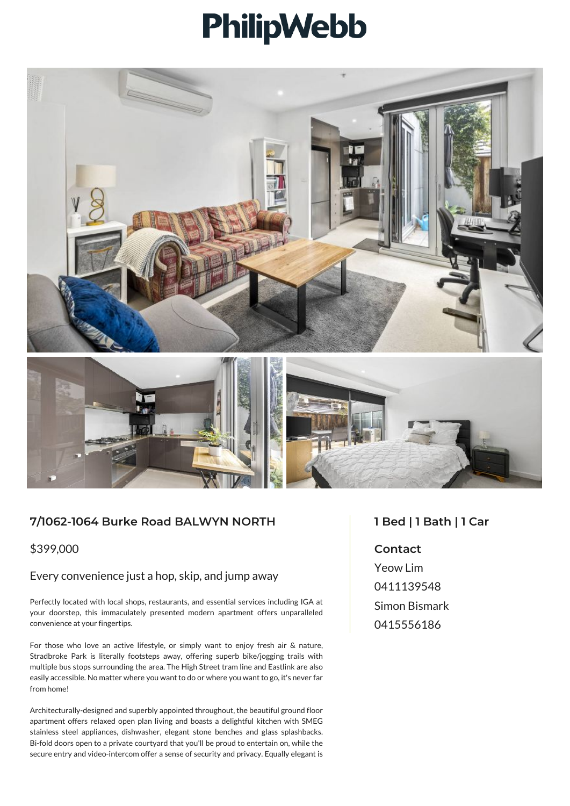# PhilipWebb



## **7/1062-1064 Burke Road BALWYN NORTH**

\$399,000

#### Every convenience just a hop, skip, and jump away

Perfectly located with local shops, restaurants, and essential services including IGA at your doorstep, this immaculately presented modern apartment offers unparalleled convenience at your fingertips.

For those who love an active lifestyle, or simply want to enjoy fresh air & nature, Stradbroke Park is literally footsteps away, offering superb bike/jogging trails with multiple bus stops surrounding the area. The High Street tram line and Eastlink are also easily accessible. No matter where you want to do or where you want to go, it's never far from home!

Architecturally-designed and superbly appointed throughout, the beautiful ground floor apartment offers relaxed open plan living and boasts a delightful kitchen with SMEG stainless steel appliances, dishwasher, elegant stone benches and glass splashbacks. Bi-fold doors open to a private courtyard that you'll be proud to entertain on, while the secure entry and video-intercom offer a sense of security and privacy. Equally elegant is

### **1 Bed | 1 Bath | 1 Car**

#### **Contact**

Yeow Lim 0411139548 Simon Bismark 0415556186